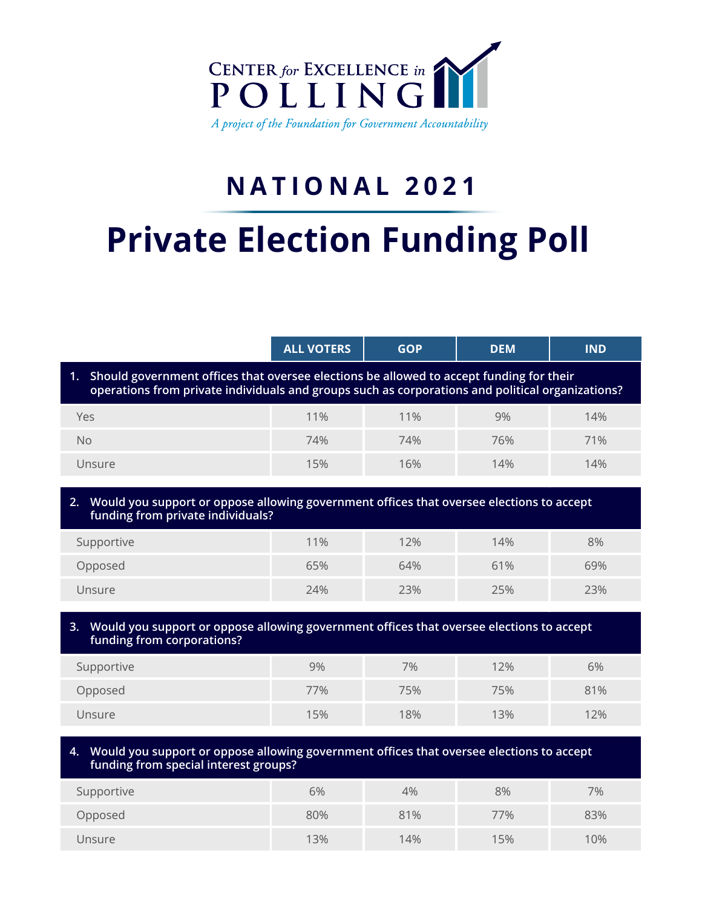

# **NATIONAL 2021**

# **Private Election Funding Poll**

|                                                                                                                                                                                                   | <b>ALL VOTERS</b> | <b>GOP</b> | <b>DEM</b> | <b>IND</b> |  |
|---------------------------------------------------------------------------------------------------------------------------------------------------------------------------------------------------|-------------------|------------|------------|------------|--|
| Should government offices that oversee elections be allowed to accept funding for their<br>1.<br>operations from private individuals and groups such as corporations and political organizations? |                   |            |            |            |  |
| Yes                                                                                                                                                                                               | 11%               | 11%        | 9%         | 14%        |  |
| <b>No</b>                                                                                                                                                                                         | 74%               | 74%        | 76%        | 71%        |  |
| Unsure                                                                                                                                                                                            | 15%               | 16%        | 14%        | 14%        |  |
| Would you support or oppose allowing government offices that oversee elections to accept<br>2.<br>funding from private individuals?                                                               |                   |            |            |            |  |
| Supportive                                                                                                                                                                                        | 11%               | 12%        | 14%        | 8%         |  |
| Opposed                                                                                                                                                                                           | 65%               | 64%        | 61%        | 69%        |  |
| Unsure                                                                                                                                                                                            | 24%               | 23%        | 25%        | 23%        |  |
|                                                                                                                                                                                                   |                   |            |            |            |  |
| Would you support or oppose allowing government offices that oversee elections to accept<br>3.                                                                                                    |                   |            |            |            |  |

| funding from corporations? |     |     |     |     |
|----------------------------|-----|-----|-----|-----|
| Supportive                 | 9%  | 7%  | 12% | 6%  |
| Opposed                    | 77% | 75% | 75% | 81% |
| Unsure                     | 15% | 18% | 13% | 12% |

## **4. Would you support or oppose allowing government offices that oversee elections to accept funding from special interest groups?**

| Supportive | 6%  | 4%  | 8%  | 7%  |
|------------|-----|-----|-----|-----|
| Opposed    | 80% | 81% | 77% | 83% |
| Unsure     | 13% | 14% | 15% | 10% |